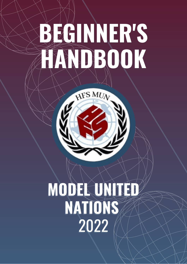# **BEGINNER'S HANDBOOK**

HFS MUN

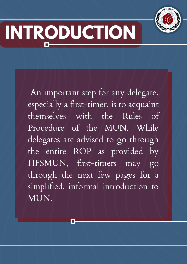

# **INTRODUCTION**

An important step for any delegate, especially a first-timer, is to acquaint themselves with the Rules of Procedure of the MUN. While delegates are advised to go through the entire ROP as provided by HFSMUN, first-timers may go through the next few pages for a simplified, informal introduction to MUN.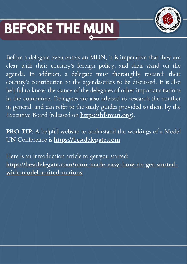#### **BEFORE THE MUN**



Before a delegate even enters an MUN, it is imperative that they are clear with their country's foreign policy, and their stand on the agenda. In addition, a delegate must thoroughly research their country's contribution to the agenda/crisis to be discussed. It is also helpful to know the stance of the delegates of other important nations in the committee. Delegates are also advised to research the conflict in general, and can refer to the study guides provided to them by the Executive Board (released on **https://hfsmun.org**).

**PRO TIP**: A helpful website to understand the workings of a Model UN Conference is **https://bestdelegate.com**

Here is an introduction article to get you started: **https://bestdelegate.com/mun-made-easy-how-to-get-startedwith-model-united-nations**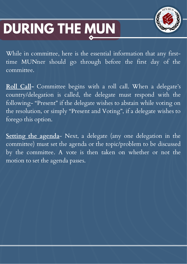### **DURING THE MUN**



While in committee, here is the essential information that any firsttime MUNner should go through before the first day of the committee.

**Roll Call-** Committee begins with a roll call. When a delegate's country/delegation is called, the delegate must respond with the following- "Present" if the delegate wishes to abstain while voting on the resolution, or simply "Present and Voting" , if a delegate wishes to forego this option.

**Setting the agenda**- Next, a delegate (any one delegation in the committee) must set the agenda or the topic/problem to be discussed by the committee. A vote is then taken on whether or not the motion to set the agenda passes.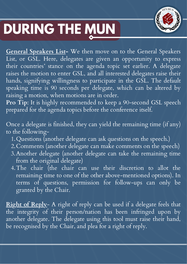

#### **DURING THE MUN**

**General Speakers List-** We then move on to the General Speakers List, or GSL. Here, delegates are given an opportunity to express their countries' stance on the agenda topic set earlier. A delegate raises the motion to enter GSL, and all interested delegates raise their hands, signifying willingness to participate in the GSL. The default speaking time is 90 seconds per delegate, which can be altered by raising a motion, when motions are in order.

**Pro Tip**: It is highly recommended to keep a 90-second GSL speech prepared for the agenda topics before the conference itself.

Once a delegate is finished, they can yield the remaining time (if any) to the following-

- Questions (another delegate can ask questions on the speech.) 1.
- Comments (another delegate can make comments on the speech) 2.
- Another delegate (another delegate can take the remaining time 3. from the original delegate)
- The chair (the chair can use their discretion to allot the 4. remaining time to one of the other above-mentioned options). In terms of questions, permission for follow-ups can only be granted by the Chair.

**Right of Reply**- A right of reply can be used if a delegate feels that the integrity of their person/nation has been infringed upon by another delegate. The delegate using this tool must raise their hand, be recognised by the Chair, and plea for a right of reply.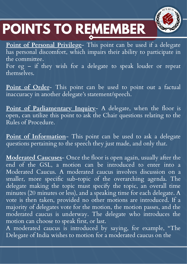## **POINTS TO REMEMBER**



**Point of Personal Privilege**- This point can be used if a delegate has personal discomfort, which impairs their ability to participate in the committee.

For eg – if they wish for a delegate to speak louder or repeat themselves.

**Point of Order**- This point can be used to point out a factual inaccuracy in another delegate's statement/speech.

**Point of Parliamentary Inquiry**- A delegate, when the floor is open, can utilize this point to ask the Chair questions relating to the Rules of Procedure.

**Point of Information**- This point can be used to ask a delegate questions pertaining to the speech they just made, and only that.

**Moderated Caucuses**- Once the floor is open again, usually after the end of the GSL, a motion can be introduced to enter into a Moderated Caucus. A moderated caucus involves discussion on a smaller, more specific sub-topic of the overarching agenda. The delegate making the topic must specify the topic, an overall time minutes (20 minutes or less), and a speaking time for each delegate. A vote is then taken, provided no other motions are introduced. If a majority of delegates vote for the motion, the motion passes, and the moderated caucus is underway. The delegate who introduces the motion can choose to speak first, or last.

A moderated caucus is introduced by saying, for example, "The Delegate of India wishes to motion for a moderated caucus on the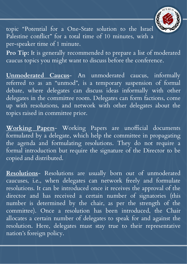

topic "Potential for a One-State solution to the Israel Palestine conflict" for a total time of 10 minutes, with a per-speaker time of 1 minute.

**Pro Tip:** It is generally recommended to prepare a list of moderated caucus topics you might want to discuss before the conference.

**Unmoderated Caucus**- An unmoderated caucus, informally referred to as an "unmod" , is a temporary suspension of formal debate, where delegates can discuss ideas informally with other delegates in the committee room. Delegates can form factions, come up with resolutions, and network with other delegates about the topics raised in committee prior.

**Working Papers**- Working Papers are unofficial documents formulated by a delegate, which help the committee in propagating the agenda and formulating resolutions. They do not require a formal introduction but require the signature of the Director to be copied and distributed.

**Resolutions**- Resolutions are usually born out of unmoderated caucuses, i.e., when delegates can network freely and formulate resolutions. It can be introduced once it receives the approval of the director and has received a certain number of signatories (this number is determined by the chair, as per the strength of the committee). Once a resolution has been introduced, the Chair allocates a certain number of delegates to speak for and against the resolution. Here, delegates must stay true to their representative nation's foreign policy.